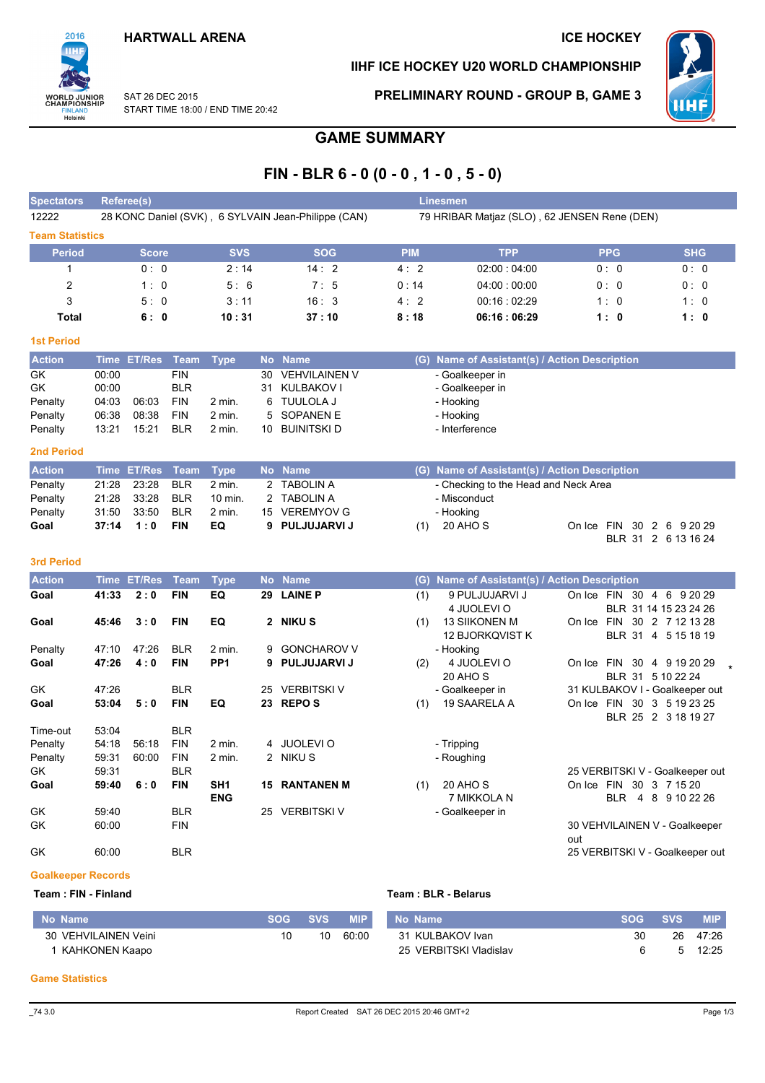## **HARTWALL ARENA**

## **ICE HOCKEY**

PRELIMINARY ROUND - GROUP B, GAME 3

IIHF ICE HOCKEY U20 WORLD CHAMPIONSHIP



SAT 26 DEC 2015 START TIME 18:00 / END TIME 20:42

# **GAME SUMMARY**

# FIN - BLR  $6 - 0 (0 - 0, 1 - 0, 5 - 0)$

| 12222<br>28 KONC Daniel (SVK), 6 SYLVAIN Jean-Philippe (CAN)<br>79 HRIBAR Matjaz (SLO), 62 JENSEN Rene (DEN)<br><b>Team Statistics</b><br><b>SHG</b><br><b>SVS</b><br><b>SOG</b><br><b>Period</b><br><b>PPG</b><br><b>TPP</b><br><b>PIM</b><br><b>Score</b><br>2:14<br>0:0<br>14:2<br>02:00:04:00<br>0:0<br>4:2<br>0:0<br>2<br>0:14<br>7:5<br>04:00:00:00<br>0:0<br>1:0<br>5:6<br>0:0 |  |
|---------------------------------------------------------------------------------------------------------------------------------------------------------------------------------------------------------------------------------------------------------------------------------------------------------------------------------------------------------------------------------------|--|
|                                                                                                                                                                                                                                                                                                                                                                                       |  |
|                                                                                                                                                                                                                                                                                                                                                                                       |  |
|                                                                                                                                                                                                                                                                                                                                                                                       |  |
|                                                                                                                                                                                                                                                                                                                                                                                       |  |
|                                                                                                                                                                                                                                                                                                                                                                                       |  |
| 3<br>16:3<br>00:16:02:29<br>5:0<br>3:11<br>1:0<br>4:2<br>1:0                                                                                                                                                                                                                                                                                                                          |  |
| 10:31<br>37:10<br>06:16:06:29<br>Total<br>8:18<br>6:0<br>1:0<br>1:0                                                                                                                                                                                                                                                                                                                   |  |

| <b>Action</b>     |       | Time ET/Res Team Type |            |                   | No Name          | (G) Name of Assistant(s) / Action Description |
|-------------------|-------|-----------------------|------------|-------------------|------------------|-----------------------------------------------|
| GK                | 00:00 |                       | FIN.       |                   | 30 VEHVILAINEN V | - Goalkeeper in                               |
| GK                | 00:00 |                       | BLR        |                   | 31 KULBAKOV I    | - Goalkeeper in                               |
| Penalty           | 04:03 | 06:03                 | <b>FIN</b> | $2 \text{ min}$ . | 6 TUULOLA J      | - Hooking                                     |
| Penalty           | 06:38 | 08:38                 | <b>FIN</b> | $2 \text{ min.}$  | 5 SOPANEN E      | - Hooking                                     |
| Penalty           | 13:21 | 15:21                 | <b>BLR</b> | $2$ min.          | 10 BUINITSKI D   | - Interference                                |
| <b>Ond Dovind</b> |       |                       |            |                   |                  |                                               |

| . . | . . |
|-----|-----|
|     |     |

**1st Period** 

2016

**WORLD JUNIOR**<br>CHAMPIONSHIP

**FINLAND**<br>Helsinki

| <b>Action</b> | Time ET/Res Team Type |            |          | No Name        |     | (G) Name of Assistant(s) / Action Description |                           |  |  |
|---------------|-----------------------|------------|----------|----------------|-----|-----------------------------------------------|---------------------------|--|--|
| Penalty       | 21:28  23:28  BLR     |            | 2 min.   | 2 TABOLIN A    |     | - Checking to the Head and Neck Area          |                           |  |  |
| Penalty       | 21:28 33:28 BLR       |            | 10 min.  | 2 TABOLIN A    |     | - Misconduct                                  |                           |  |  |
| Penalty       | 31:50 33:50 BLR       |            | $2$ min. | 15 VEREMYOV G  |     | - Hooking                                     |                           |  |  |
| Goal          | $37:14$ 1:0           | <b>FIN</b> | EQ.      | 9 PULJUJARVI J | (1) | 20 AHO S                                      | On Ice FIN 30 2 6 9 20 29 |  |  |
|               |                       |            |          |                |     |                                               | BLR 31 2 6 13 16 24       |  |  |

#### 3rd Period

| <b>Action</b> | <b>Time</b> | <b>ET/Res</b> | <b>Team</b> | <b>Type</b>     |              | No Name            | (G) | Name of Assistant(s) / Action Description |        |                   |                |                                 |  |
|---------------|-------------|---------------|-------------|-----------------|--------------|--------------------|-----|-------------------------------------------|--------|-------------------|----------------|---------------------------------|--|
| Goal          | 41:33       | 2:0           | <b>FIN</b>  | EQ              | 29           | <b>LAINE P</b>     | (1) | 9 PULJUJARVI J                            | On Ice | FIN 30            |                | 4 6 9 20 29                     |  |
|               |             |               |             |                 |              |                    |     | 4 JUOLEVI O                               |        |                   |                | BLR 31 14 15 23 24 26           |  |
| Goal          | 45:46       | 3:0           | <b>FIN</b>  | EQ              | $\mathbf{2}$ | <b>NIKU S</b>      | (1) | <b>13 SIIKONEN M</b>                      | On Ice | <b>FIN</b>        |                | 30 2 7 12 13 28                 |  |
|               |             |               |             |                 |              |                    |     | 12 BJORKQVIST K                           |        | <b>BLR 31</b>     | $\overline{4}$ | 5 15 18 19                      |  |
| Penalty       | 47:10       | 47:26         | <b>BLR</b>  | $2$ min.        | 9            | <b>GONCHAROV V</b> |     | - Hooking                                 |        |                   |                |                                 |  |
| Goal          | 47:26       | 4:0           | <b>FIN</b>  | PP <sub>1</sub> | 9            | <b>PULJUJARVIJ</b> | (2) | 4 JUOLEVI O                               | On Ice | 30<br><b>FIN</b>  |                | 4 9 19 20 29                    |  |
|               |             |               |             |                 |              |                    |     | 20 AHO S                                  |        | BLR 31 5 10 22 24 |                |                                 |  |
| GK            | 47:26       |               | <b>BLR</b>  |                 | 25           | <b>VERBITSKI V</b> |     | - Goalkeeper in                           |        |                   |                | 31 KULBAKOV I - Goalkeeper out  |  |
| Goal          | 53:04       | 5:0           | <b>FIN</b>  | EQ              | 23           | <b>REPOS</b>       | (1) | 19 SAARELA A                              | On Ice | FIN               |                | 30 3 5 19 23 25                 |  |
|               |             |               |             |                 |              |                    |     |                                           |        | <b>BLR 25</b>     |                | 2 3 18 19 27                    |  |
| Time-out      | 53:04       |               | <b>BLR</b>  |                 |              |                    |     |                                           |        |                   |                |                                 |  |
| Penalty       | 54:18       | 56:18         | <b>FIN</b>  | 2 min.          |              | 4 JUOLEVIO         |     | - Tripping                                |        |                   |                |                                 |  |
| Penalty       | 59:31       | 60:00         | <b>FIN</b>  | 2 min.          |              | 2 NIKUS            |     | - Roughing                                |        |                   |                |                                 |  |
| GK.           | 59:31       |               | <b>BLR</b>  |                 |              |                    |     |                                           |        |                   |                | 25 VERBITSKI V - Goalkeeper out |  |
| Goal          | 59:40       | 6:0           | <b>FIN</b>  | SH <sub>1</sub> | 15           | <b>RANTANEN M</b>  | (1) | 20 AHO S                                  | On Ice | <b>FIN</b>        |                | 30 3 7 15 20                    |  |
|               |             |               |             | <b>ENG</b>      |              |                    |     | 7 MIKKOLA N                               |        | <b>BLR</b><br>4   | 8              | 9 10 22 26                      |  |
| GK            | 59:40       |               | <b>BLR</b>  |                 | 25           | <b>VERBITSKI V</b> |     | - Goalkeeper in                           |        |                   |                |                                 |  |
| GK            | 60:00       |               | <b>FIN</b>  |                 |              |                    |     |                                           |        |                   |                | 30 VEHVILAINEN V - Goalkeeper   |  |
|               |             |               |             |                 |              |                    |     |                                           | out    |                   |                |                                 |  |
| GK            | 60:00       |               | <b>BLR</b>  |                 |              |                    |     |                                           |        |                   |                | 25 VERBITSKI V - Goalkeeper out |  |

#### **Goalkeeper Records**

### Team: FIN - Finland

| l No Name            | <b>SOG</b> | <b>SVS</b> | MIP   | No Name                | $\sim$ SOG $\sim$ | SVS. | <b>MIP</b> |
|----------------------|------------|------------|-------|------------------------|-------------------|------|------------|
| 30 VEHVILAINEN Veini |            | 10         | 60:00 | 31 KULBAKOV Ivan       | 30                | 26   | 47:26      |
| KAHKONEN Kaapo       |            |            |       | 25 VERBITSKI Vladislav |                   |      | 12:25      |

#### **Game Statistics**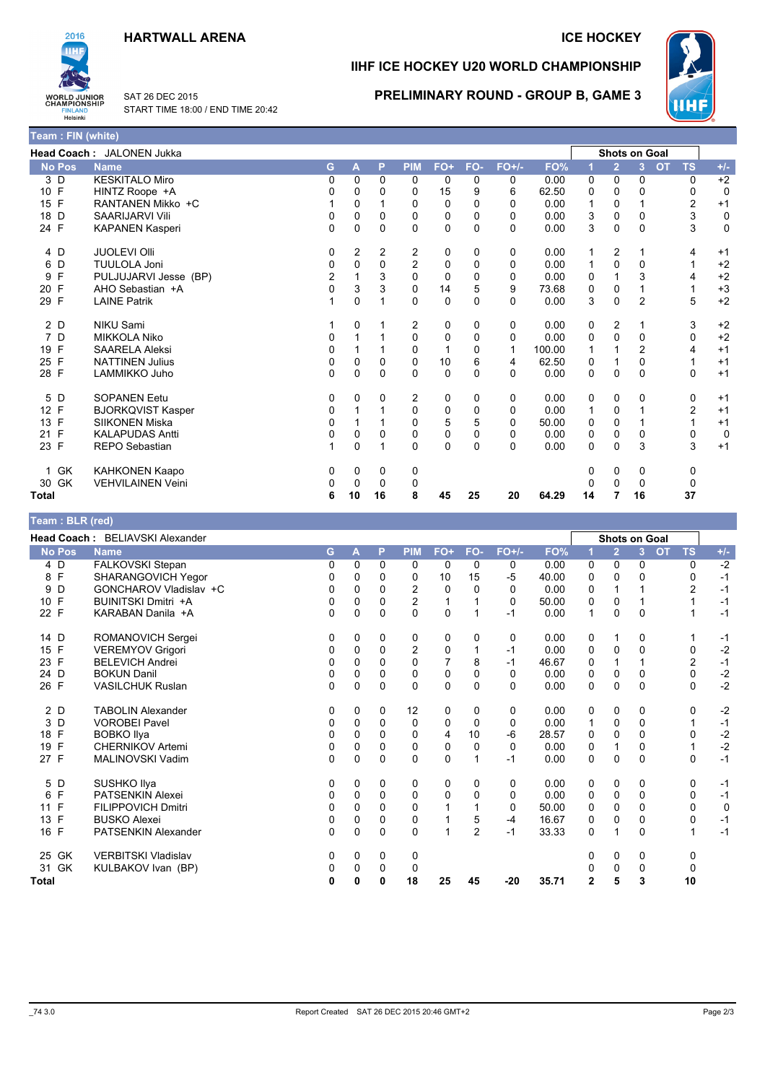## **HARTWALL ARENA**



Team : FIN (white)

SAT 26 DEC 2015 START TIME 18:00 / END TIME 20:42

## **ICE HOCKEY**

# IIHF ICE HOCKEY U20 WORLD CHAMPIONSHIP



PRELIMINARY ROUND - GROUP B, GAME 3

|                     | Head Coach: JALONEN Jukka |                |              |                |              |             |              |          |        |    | <b>Shots on Goal</b> |                |           |                |             |
|---------------------|---------------------------|----------------|--------------|----------------|--------------|-------------|--------------|----------|--------|----|----------------------|----------------|-----------|----------------|-------------|
| <b>No Pos</b>       | <b>Name</b>               | G              | $\mathsf{A}$ | P              | <b>PIM</b>   | FO+         | FO-          | $FO+/-$  | FO%    |    | $\overline{2}$       | 3              | <b>OT</b> | <b>TS</b>      | $+/-$       |
| 3 D                 | <b>KESKITALO Miro</b>     | 0              | $\Omega$     | $\Omega$       | $\mathbf{0}$ | 0           | 0            | 0        | 0.00   | 0  | 0                    | 0              |           | 0              | $+2$        |
| 10 F                | HINTZ Roope +A            | 0              | 0            | 0              | 0            | 15          | 9            | 6        | 62.50  | 0  | 0                    | 0              |           | 0              | $\mathbf 0$ |
| 15 F                | RANTANEN Mikko +C         |                | 0            |                | 0            | 0           | $\Omega$     | 0        | 0.00   | 1  | 0                    |                |           | $\overline{c}$ | $+1$        |
| D<br>18             | <b>SAARIJARVI Vili</b>    | 0              | 0            | 0              | 0            | 0           | 0            | 0        | 0.00   | 3  | 0                    | 0              |           | 3              | 0           |
| 24 F                | <b>KAPANEN Kasperi</b>    | $\Omega$       | $\Omega$     | $\Omega$       | $\Omega$     | 0           | $\Omega$     | $\Omega$ | 0.00   | 3  | $\Omega$             | $\Omega$       |           | 3              | $\pmb{0}$   |
| 4 D                 | <b>JUOLEVI Olli</b>       | 0              | 2            | $\overline{c}$ | 2            | 0           | $\mathbf{0}$ | 0        | 0.00   | 1  | 2                    |                |           | 4              | $+1$        |
| D<br>6              | <b>TUULOLA Joni</b>       | 0              | 0            | 0              | 2            | 0           | 0            | 0        | 0.00   | 1  | 0                    | $\Omega$       |           |                | $+2$        |
| F<br>9              | PULJUJARVI Jesse (BP)     | $\overline{c}$ |              | 3              | $\Omega$     | $\Omega$    | $\Omega$     | 0        | 0.00   | 0  |                      | 3              |           | 4              | $+2$        |
| F<br>20             | AHO Sebastian +A          | 0              | 3            | 3              | $\mathbf 0$  | 14          | 5            | 9        | 73.68  | 0  | 0                    |                |           |                | $+3$        |
| 29 F                | <b>LAINE Patrik</b>       |                | $\Omega$     |                | $\Omega$     | $\mathbf 0$ | $\Omega$     | $\Omega$ | 0.00   | 3  | $\Omega$             | $\overline{2}$ |           | 5              | $+2$        |
| 2 D                 | <b>NIKU Sami</b>          |                | 0            |                | 2            | 0           | 0            | 0        | 0.00   | 0  | 2                    |                |           | 3              | $+2$        |
| D<br>$\overline{7}$ | <b>MIKKOLA Niko</b>       | 0              |              |                | 0            | $\mathbf 0$ | $\Omega$     | $\Omega$ | 0.00   | 0  | $\Omega$             | $\Omega$       |           | 0              | $+2$        |
| 19 F                | <b>SAARELA Aleksi</b>     | 0              |              |                | 0            | 1           | 0            | 1        | 100.00 |    |                      | $\overline{2}$ |           | 4              | $+1$        |
| 25 F                | <b>NATTINEN Julius</b>    | 0              | 0            | 0              | 0            | 10          | 6            | 4        | 62.50  | 0  |                      | 0              |           |                | $+1$        |
| 28 F                | LAMMIKKO Juho             | 0              | $\mathbf 0$  | 0              | 0            | $\mathbf 0$ | $\Omega$     | $\Omega$ | 0.00   | 0  | 0                    | $\mathbf{0}$   |           | $\mathbf 0$    | $+1$        |
| 5 D                 | <b>SOPANEN Eetu</b>       | 0              | 0            | 0              | 2            | 0           | 0            | 0        | 0.00   | 0  | 0                    | 0              |           | 0              | $+1$        |
| 12 F                | <b>BJORKQVIST Kasper</b>  | 0              |              |                | 0            | 0           | $\Omega$     | 0        | 0.00   | 1  | 0                    |                |           | $\overline{2}$ | $+1$        |
| F<br>13             | <b>SIIKONEN Miska</b>     | 0              |              |                | 0            | 5           | 5            | $\Omega$ | 50.00  | 0  | 0                    |                |           |                | $+1$        |
| F<br>21             | <b>KALAPUDAS Antti</b>    | 0              | 0            | 0              | 0            | 0           | 0            | 0        | 0.00   | 0  | 0                    | 0              |           | 0              | 0           |
| 23 F                | REPO Sebastian            |                | $\Omega$     |                | $\Omega$     | $\Omega$    | $\Omega$     | $\Omega$ | 0.00   | 0  | $\Omega$             | 3              |           | 3              | $+1$        |
| GK<br>1             | <b>KAHKONEN Kaapo</b>     | 0              | 0            | 0              | 0            |             |              |          |        | 0  | 0                    | 0              |           | 0              |             |
| GK<br>30            | <b>VEHVILAINEN Veini</b>  | 0              | 0            | $\Omega$       | 0            |             |              |          |        |    | 0                    | $\Omega$       |           | $\Omega$       |             |
| Total               |                           | 6              | 10           | 16             | 8            | 45          | 25           | 20       | 64.29  | 14 |                      | 16             |           | 37             |             |

| Team : BLR (red)  |                                 |          |          |             |            |     |                |          |       |             |                      |             |           |           |       |
|-------------------|---------------------------------|----------|----------|-------------|------------|-----|----------------|----------|-------|-------------|----------------------|-------------|-----------|-----------|-------|
|                   | Head Coach: BELIAVSKI Alexander |          |          |             |            |     |                |          |       |             | <b>Shots on Goal</b> |             |           |           |       |
| <b>No Pos</b>     | <b>Name</b>                     | G        | А        | P           | <b>PIM</b> | FO+ | FO-            | $FO+/-$  | FO%   |             | $\overline{2}$       | 3           | <b>OT</b> | <b>TS</b> | $+/-$ |
| 4 D               | FALKOVSKI Stepan                | 0        | 0        | $\Omega$    | 0          | 0   | 0              | 0        | 0.00  | 0           | 0                    | 0           |           | 0         | $-2$  |
| $\mathsf{F}$<br>8 | SHARANGOVICH Yegor              | 0        | 0        | 0           | 0          | 10  | 15             | $-5$     | 40.00 | 0           | 0                    | 0           |           | 0         | $-1$  |
| D<br>9            | GONCHAROV Vladislav +C          | $\Omega$ | $\Omega$ | $\Omega$    | 2          | 0   | $\Omega$       | 0        | 0.00  | 0           |                      |             |           | 2         | $-1$  |
| F<br>10           | <b>BUINITSKI Dmitri +A</b>      | 0        | 0        | 0           | 2          |     |                | 0        | 50.00 | 0           | 0                    |             |           |           | $-1$  |
| 22 F              | KARABAN Danila +A               | 0        | $\Omega$ | $\Omega$    | $\Omega$   | 0   |                | $-1$     | 0.00  | $\mathbf 1$ | $\Omega$             | $\Omega$    |           |           | $-1$  |
| 14 D              | ROMANOVICH Sergei               | 0        | 0        | 0           | 0          | 0   | 0              | 0        | 0.00  | 0           |                      | 0           |           |           | $-1$  |
| F<br>15           | <b>VEREMYOV Grigori</b>         | 0        | 0        | 0           | 2          | 0   |                | $-1$     | 0.00  | 0           | 0                    | 0           |           | 0         | $-2$  |
| F<br>23           | <b>BELEVICH Andrei</b>          | 0        | 0        | 0           | $\Omega$   | 7   | 8              | $-1$     | 46.67 | 0           |                      |             |           | 2         | $-1$  |
| 24 D              | <b>BOKUN Danil</b>              | 0        | 0        | 0           | 0          | 0   | 0              | 0        | 0.00  | 0           | 0                    | 0           |           | 0         | $-2$  |
| 26 F              | <b>VASILCHUK Ruslan</b>         | $\Omega$ | 0        | $\mathbf 0$ | 0          | 0   | 0              | $\Omega$ | 0.00  | 0           | $\mathbf 0$          | $\mathbf 0$ |           | 0         | $-2$  |
| 2 D               | <b>TABOLIN Alexander</b>        | 0        | 0        | 0           | 12         | 0   | 0              | 0        | 0.00  | 0           | 0                    | 0           |           | 0         | $-2$  |
| 3<br>D            | <b>VOROBEI Pavel</b>            | 0        | 0        | $\Omega$    | 0          | 0   | 0              | 0        | 0.00  | 1           | 0                    | $\Omega$    |           |           | $-1$  |
| F<br>18           | <b>BOBKO Ilya</b>               | 0        | 0        | 0           | 0          | 4   | 10             | -6       | 28.57 | 0           | 0                    | $\Omega$    |           | 0         | $-2$  |
| F<br>19           | <b>CHERNIKOV Artemi</b>         | 0        | 0        | 0           | 0          | 0   | 0              | 0        | 0.00  | 0           |                      | 0           |           |           | $-2$  |
| 27 F              | MALINOVSKI Vadim                | 0        | 0        | $\Omega$    | $\Omega$   | 0   |                | $-1$     | 0.00  | 0           | 0                    | 0           |           | 0         | $-1$  |
| 5<br>D            | SUSHKO Ilya                     | 0        | 0        | 0           | 0          | 0   | 0              | 0        | 0.00  | 0           | 0                    | 0           |           | 0         | $-1$  |
| F<br>6            | <b>PATSENKIN Alexei</b>         | 0        | 0        | $\Omega$    | 0          | 0   | 0              | 0        | 0.00  | 0           | 0                    | $\Omega$    |           | 0         | $-1$  |
| F<br>11           | <b>FILIPPOVICH Dmitri</b>       | 0        | 0        | $\Omega$    | 0          |     |                | 0        | 50.00 | 0           | 0                    | 0           |           | 0         | 0     |
| F<br>13           | <b>BUSKO Alexei</b>             | 0        | 0        | $\Omega$    | 0          |     | 5              | $-4$     | 16.67 | 0           | 0                    | $\Omega$    |           | 0         | $-1$  |
| 16 F              | <b>PATSENKIN Alexander</b>      | $\Omega$ | 0        | 0           | 0          | 1   | $\overline{2}$ | $-1$     | 33.33 | 0           |                      | 0           |           |           | $-1$  |
| 25 GK             | <b>VERBITSKI Vladislav</b>      | 0        | 0        | 0           | 0          |     |                |          |       | 0           | 0                    | 0           |           | 0         |       |
| GK<br>31          | KULBAKOV Ivan (BP)              | 0        | 0        | 0           | 0          |     |                |          |       |             | 0                    | 0           |           | 0         |       |
| <b>Total</b>      |                                 | 0        | 0        | 0           | 18         | 25  | 45             | -20      | 35.71 | 2           | 5                    | 3           |           | 10        |       |